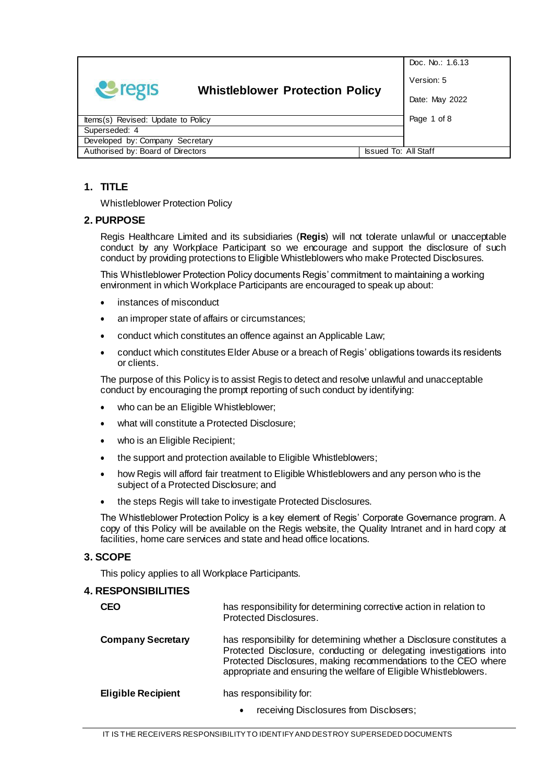|                                                                  |                                        |             | Doc. No.: 1.6.13 |
|------------------------------------------------------------------|----------------------------------------|-------------|------------------|
| <b>Peregis</b>                                                   | <b>Whistleblower Protection Policy</b> |             | Version: 5       |
|                                                                  |                                        |             | Date: May 2022   |
| Items(s) Revised: Update to Policy                               |                                        | Page 1 of 8 |                  |
| Superseded: 4                                                    |                                        |             |                  |
| Developed by: Company Secretary                                  |                                        |             |                  |
| <b>Issued To: All Staff</b><br>Authorised by: Board of Directors |                                        |             |                  |

## **1. TITLE**

Whistleblower Protection Policy

## **2. PURPOSE**

Regis Healthcare Limited and its subsidiaries (**Regis**) will not tolerate unlawful or unacceptable conduct by any Workplace Participant so we encourage and support the disclosure of such conduct by providing protections to Eligible Whistleblowers who make Protected Disclosures.

This Whistleblower Protection Policy documents Regis' commitment to maintaining a working environment in which Workplace Participants are encouraged to speak up about:

- instances of misconduct
- an improper state of affairs or circumstances;
- conduct which constitutes an offence against an Applicable Law;
- conduct which constitutes Elder Abuse or a breach of Regis' obligations towards its residents or clients.

The purpose of this Policy is to assist Regis to detect and resolve unlawful and unacceptable conduct by encouraging the prompt reporting of such conduct by identifying:

- who can be an Eligible Whistleblower;
- what will constitute a Protected Disclosure;
- who is an Eligible Recipient;
- the support and protection available to Eligible Whistleblowers;
- how Regis will afford fair treatment to Eligible Whistleblowers and any person who is the subject of a Protected Disclosure; and
- the steps Regis will take to investigate Protected Disclosures.

The Whistleblower Protection Policy is a key element of Regis' Corporate Governance program. A copy of this Policy will be available on the Regis website, the Quality Intranet and in hard copy at facilities, home care services and state and head office locations.

## **3. SCOPE**

This policy applies to all Workplace Participants.

#### **4. RESPONSIBILITIES**

| <b>CEO</b>                | has responsibility for determining corrective action in relation to<br>Protected Disclosures.                                                                                                                                                                                     |
|---------------------------|-----------------------------------------------------------------------------------------------------------------------------------------------------------------------------------------------------------------------------------------------------------------------------------|
| <b>Company Secretary</b>  | has responsibility for determining whether a Disclosure constitutes a<br>Protected Disclosure, conducting or delegating investigations into<br>Protected Disclosures, making recommendations to the CEO where<br>appropriate and ensuring the welfare of Eligible Whistleblowers. |
| <b>Eligible Recipient</b> | has responsibility for:                                                                                                                                                                                                                                                           |
|                           | receiving Disclosures from Disclosers;<br>٠                                                                                                                                                                                                                                       |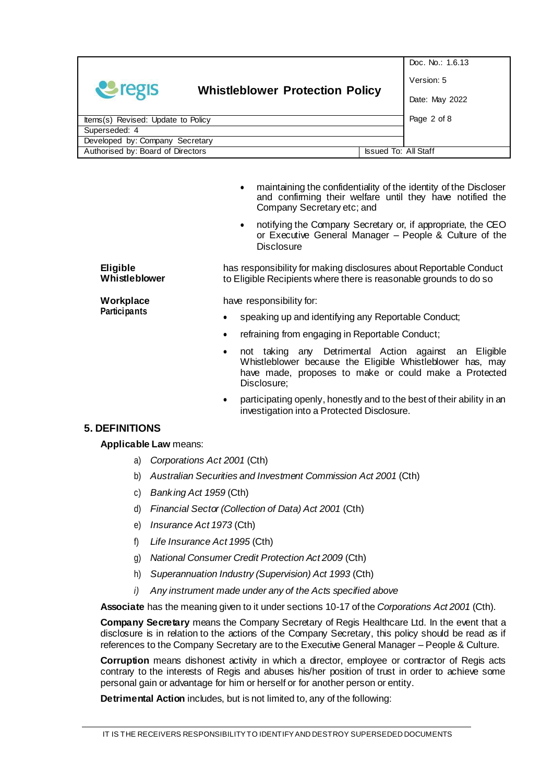|                                                          | Doc. No.: 1.6.13            |
|----------------------------------------------------------|-----------------------------|
| <u>e</u> regis<br><b>Whistleblower Protection Policy</b> | Version: 5                  |
|                                                          | Date: May 2022              |
| Items(s) Revised: Update to Policy                       | Page 2 of 8                 |
| Superseded: 4                                            |                             |
| Developed by: Company<br>Secretary                       |                             |
| Authorised by: Board of Directors                        | <b>Issued To: All Staff</b> |

- maintaining the confidentiality of the identity of the Discloser and confirming their welfare until they have notified the Company Secretary etc; and
- notifying the Company Secretary or, if appropriate, the CEO or Executive General Manager – People & Culture of the **Disclosure**

has responsibility for making disclosures about Reportable Conduct to Eligible Recipients where there is reasonable grounds to do so

have responsibility for:

- speaking up and identifying any Reportable Conduct;
- refraining from engaging in Reportable Conduct;
- not taking any Detrimental Action against an Eligible Whistleblower because the Eligible Whistleblower has, may have made, proposes to make or could make a Protected Disclosure;
- participating openly, honestly and to the best of their ability in an investigation into a Protected Disclosure.

## **5. DEFINITIONS**

**Applicable Law** means:

- a) *Corporations Act 2001* (Cth)
- b) *Australian Securities and Investment Commission Act 2001* (Cth)
- c) *Banking Act 1959* (Cth)
- d) *Financial Sector (Collection of Data) Act 2001* (Cth)
- e) *Insurance Act 1973* (Cth)
- f) *Life Insurance Act 1995* (Cth)
- g) *National Consumer Credit Protection Act 2009* (Cth)
- h) *Superannuation Industry (Supervision) Act 1993* (Cth)
- *i) Any instrument made under any of the Acts specified above*

**Associate** has the meaning given to it under sections 10-17 of the *Corporations Act 2001* (Cth).

**Company Secretary** means the Company Secretary of Regis Healthcare Ltd. In the event that a disclosure is in relation to the actions of the Company Secretary, this policy should be read as if references to the Company Secretary are to the Executive General Manager – People & Culture.

**Corruption** means dishonest activity in which a director, employee or contractor of Regis acts contrary to the interests of Regis and abuses his/her position of trust in order to achieve some personal gain or advantage for him or herself or for another person or entity.

**Detrimental Action** includes, but is not limited to, any of the following:

**Eligible Whistleblower**

**Workplace Participants**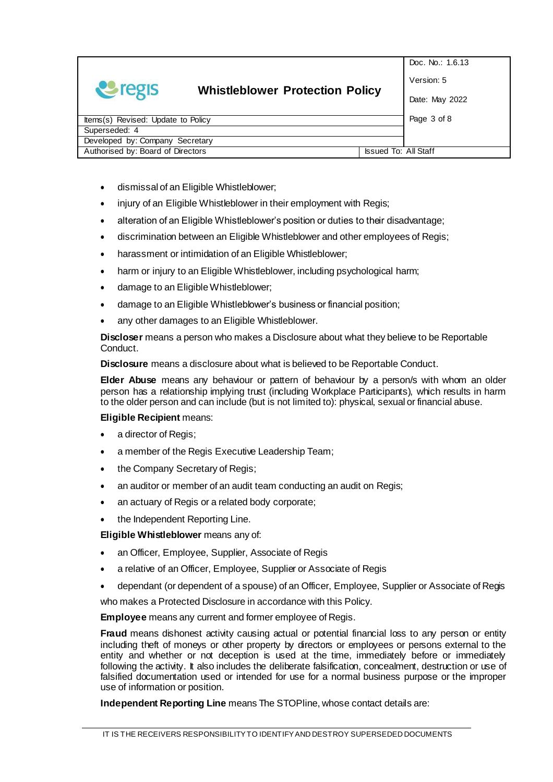

| Superseded: 4                     |                           |  |
|-----------------------------------|---------------------------|--|
| Developed by: Company Secretary   |                           |  |
| Authorised by: Board of Directors | <b>Sand To: All Staff</b> |  |

- dismissal of an Eligible Whistleblower;
- injury of an Eligible Whistleblower in their employment with Regis;
- alteration of an Eligible Whistleblower's position or duties to their disadvantage;
- discrimination between an Eligible Whistleblower and other employees of Regis;
- harassment or intimidation of an Eligible Whistleblower;
- harm or injury to an Eligible Whistleblower, including psychological harm;
- damage to an Eligible Whistleblower;
- damage to an Eligible Whistleblower's business or financial position;
- any other damages to an Eligible Whistleblower.

**Discloser** means a person who makes a Disclosure about what they believe to be Reportable Conduct.

**Disclosure** means a disclosure about what is believed to be Reportable Conduct.

**Elder Abuse** means any behaviour or pattern of behaviour by a person/s with whom an older person has a relationship implying trust (including Workplace Participants), which results in harm to the older person and can include (but is not limited to): physical, sexual or financial abuse.

#### **Eligible Recipient** means:

- a director of Regis;
- a member of the Regis Executive Leadership Team;
- the Company Secretary of Regis;
- an auditor or member of an audit team conducting an audit on Regis;
- an actuary of Regis or a related body corporate;
- the Independent Reporting Line.

**Eligible Whistleblower** means any of:

- an Officer, Employee, Supplier, Associate of Regis
- a relative of an Officer, Employee, Supplier or Associate of Regis
- dependant (or dependent of a spouse) of an Officer, Employee, Supplier or Associate of Regis

who makes a Protected Disclosure in accordance with this Policy.

**Employee** means any current and former employee of Regis.

**Fraud** means dishonest activity causing actual or potential financial loss to any person or entity including theft of moneys or other property by directors or employees or persons external to the entity and whether or not deception is used at the time, immediately before or immediately following the activity. It also includes the deliberate falsification, concealment, destruction or use of falsified documentation used or intended for use for a normal business purpose or the improper use of information or position.

**Independent Reporting Line** means The STOPline, whose contact details are: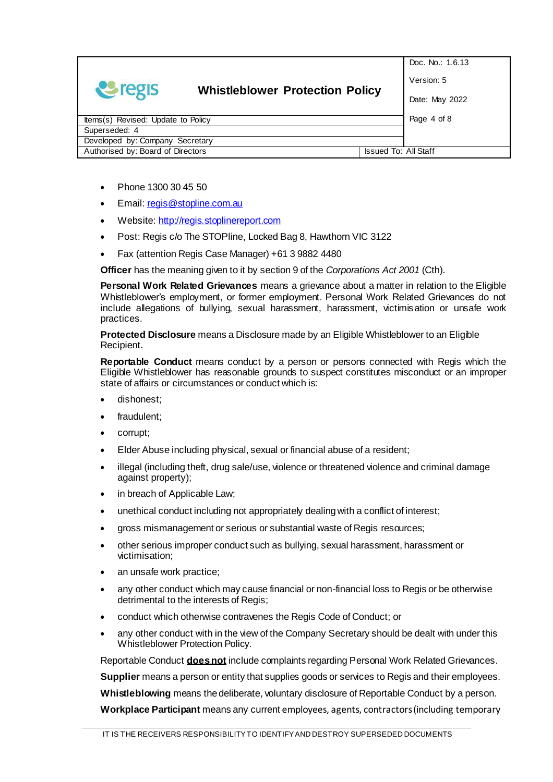

- Phone 1300 30 45 50
- Email: [regis@stopline.com.au](mailto:regis@stopline.com.au)
- Website: [http://regis.stoplinereport.com](http://regis.stoplinereport.com/)
- Post: Regis c/o The STOPline, Locked Bag 8, Hawthorn VIC 3122
- Fax (attention Regis Case Manager) +61 3 9882 4480

**Officer** has the meaning given to it by section 9 of the *Corporations Act 2001* (Cth).

**Personal Work Related Grievances** means a grievance about a matter in relation to the Eligible Whistleblower's employment, or former employment. Personal Work Related Grievances do not include allegations of bullying, sexual harassment, harassment, victimisation or unsafe work practices.

**Protected Disclosure** means a Disclosure made by an Eligible Whistleblower to an Eligible Recipient.

**Reportable Conduct** means conduct by a person or persons connected with Regis which the Eligible Whistleblower has reasonable grounds to suspect constitutes misconduct or an improper state of affairs or circumstances or conduct which is:

- dishonest;
- fraudulent;
- corrupt;
- Elder Abuse including physical, sexual or financial abuse of a resident;
- illegal (including theft, drug sale/use, violence or threatened violence and criminal damage against property);
- in breach of Applicable Law;
- unethical conduct including not appropriately dealing with a conflict of interest;
- gross mismanagement or serious or substantial waste of Regis resources;
- other serious improper conduct such as bullying, sexual harassment, harassment or victimisation;
- an unsafe work practice;
- any other conduct which may cause financial or non-financial loss to Regis or be otherwise detrimental to the interests of Regis;
- conduct which otherwise contravenes the Regis Code of Conduct; or
- any other conduct with in the view of the Company Secretary should be dealt with under this Whistleblower Protection Policy.

Reportable Conduct **does not** include complaints regarding Personal Work Related Grievances.

**Supplier** means a person or entity that supplies goods or services to Regis and their employees.

**Whistleblowing** means the deliberate, voluntary disclosure of Reportable Conduct by a person.

**Workplace Participant** means any current employees, agents, contractors (including temporary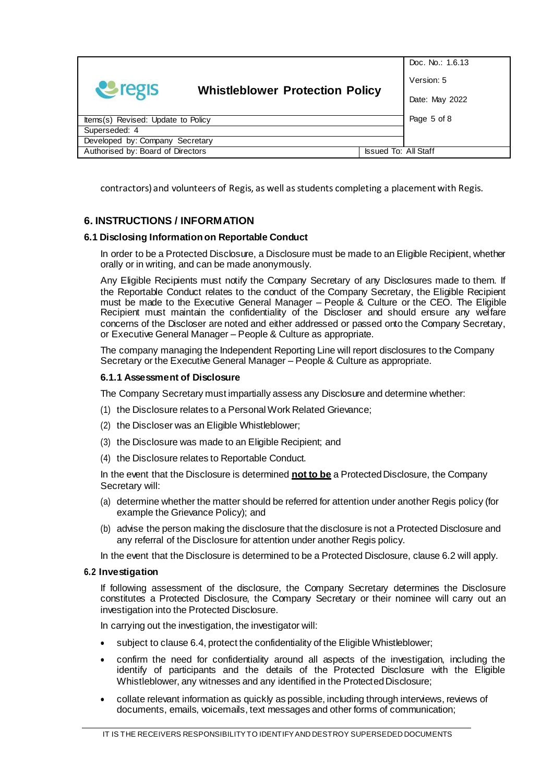|                                                                  |                                        | Doc. No.: 1.6.13 |                |
|------------------------------------------------------------------|----------------------------------------|------------------|----------------|
| <b>S</b> regis                                                   | <b>Whistleblower Protection Policy</b> |                  | Version: 5     |
|                                                                  |                                        |                  | Date: May 2022 |
| Items(s) Revised: Update to Policy                               |                                        | Page 5 of 8      |                |
| Superseded: 4                                                    |                                        |                  |                |
| Developed by: Company Secretary                                  |                                        |                  |                |
| Authorised by: Board of Directors<br><b>Issued To: All Staff</b> |                                        |                  |                |

contractors) and volunteers of Regis, as well as students completing a placement with Regis.

## **6. INSTRUCTIONS / INFORMATION**

## **6.1 Disclosing Information on Reportable Conduct**

In order to be a Protected Disclosure, a Disclosure must be made to an Eligible Recipient, whether orally or in writing, and can be made anonymously.

Any Eligible Recipients must notify the Company Secretary of any Disclosures made to them. If the Reportable Conduct relates to the conduct of the Company Secretary, the Eligible Recipient must be made to the Executive General Manager – People & Culture or the CEO. The Eligible Recipient must maintain the confidentiality of the Discloser and should ensure any welfare concerns of the Discloser are noted and either addressed or passed onto the Company Secretary, or Executive General Manager – People & Culture as appropriate.

The company managing the Independent Reporting Line will report disclosures to the Company Secretary or the Executive General Manager – People & Culture as appropriate.

#### **6.1.1 Assessment of Disclosure**

The Company Secretary must impartially assess any Disclosure and determine whether:

- (1) the Disclosure relates to a Personal Work Related Grievance;
- (2) the Discloser was an Eligible Whistleblower;
- (3) the Disclosure was made to an Eligible Recipient; and
- (4) the Disclosure relates to Reportable Conduct.

In the event that the Disclosure is determined **not to be** a Protected Disclosure, the Company Secretary will:

- (a) determine whether the matter should be referred for attention under another Regis policy (for example the Grievance Policy); and
- (b) advise the person making the disclosure that the disclosure is not a Protected Disclosure and any referral of the Disclosure for attention under another Regis policy.

In the event that the Disclosure is determined to be a Protected Disclosure, clause 6.2 will apply.

#### **6.2 Investigation**

If following assessment of the disclosure, the Company Secretary determines the Disclosure constitutes a Protected Disclosure, the Company Secretary or their nominee will carry out an investigation into the Protected Disclosure.

In carrying out the investigation, the investigator will:

- subject to clause 6.4, protect the confidentiality of the Eligible Whistleblower;
- confirm the need for confidentiality around all aspects of the investigation, including the identify of participants and the details of the Protected Disclosure with the Eligible Whistleblower, any witnesses and any identified in the Protected Disclosure;
- collate relevant information as quickly as possible, including through interviews, reviews of documents, emails, voicemails, text messages and other forms of communication;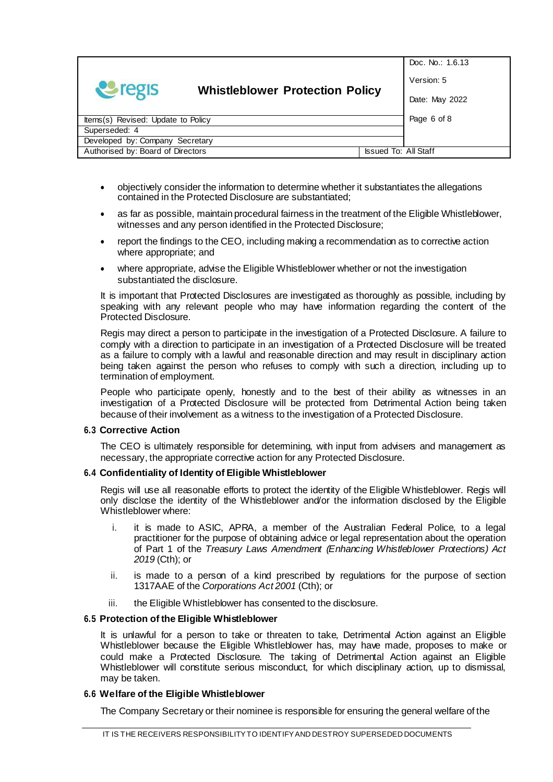

- objectively consider the information to determine whether it substantiates the allegations contained in the Protected Disclosure are substantiated;
- as far as possible, maintain procedural fairness in the treatment of the Eligible Whistleblower, witnesses and any person identified in the Protected Disclosure;
- report the findings to the CEO, including making a recommendation as to corrective action where appropriate; and
- where appropriate, advise the Eligible Whistleblower whether or not the investigation substantiated the disclosure.

It is important that Protected Disclosures are investigated as thoroughly as possible, including by speaking with any relevant people who may have information regarding the content of the Protected Disclosure.

Regis may direct a person to participate in the investigation of a Protected Disclosure. A failure to comply with a direction to participate in an investigation of a Protected Disclosure will be treated as a failure to comply with a lawful and reasonable direction and may result in disciplinary action being taken against the person who refuses to comply with such a direction, including up to termination of employment.

People who participate openly, honestly and to the best of their ability as witnesses in an investigation of a Protected Disclosure will be protected from Detrimental Action being taken because of their involvement as a witness to the investigation of a Protected Disclosure.

#### **6.3 Corrective Action**

The CEO is ultimately responsible for determining, with input from advisers and management as necessary, the appropriate corrective action for any Protected Disclosure.

## **6.4 Confidentiality of Identity of Eligible Whistleblower**

Regis will use all reasonable efforts to protect the identity of the Eligible Whistleblower. Regis will only disclose the identity of the Whistleblower and/or the information disclosed by the Eligible Whistleblower where:

- i. it is made to ASIC, APRA, a member of the Australian Federal Police, to a legal practitioner for the purpose of obtaining advice or legal representation about the operation of Part 1 of the *Treasury Laws Amendment (Enhancing Whistleblower Protections) Act 2019* (Cth); or
- ii. is made to a person of a kind prescribed by regulations for the purpose of section 1317AAE of the *Corporations Act 2001* (Cth); or
- iii. the Eligible Whistleblower has consented to the disclosure.

#### **6.5 Protection of the Eligible Whistleblower**

It is unlawful for a person to take or threaten to take, Detrimental Action against an Eligible Whistleblower because the Eligible Whistleblower has, may have made, proposes to make or could make a Protected Disclosure. The taking of Detrimental Action against an Eligible Whistleblower will constitute serious misconduct, for which disciplinary action, up to dismissal, may be taken.

#### **6.6 Welfare of the Eligible Whistleblower**

The Company Secretary or their nominee is responsible for ensuring the general welfare of the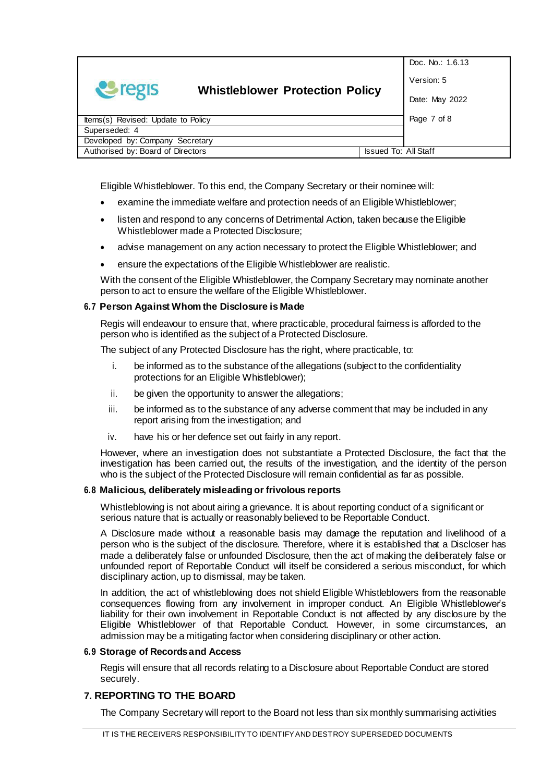

# **Whistleblower Protection Policy**

Doc. No.: 1.6.13

Version: 5

Date: May 2022

**If If all all stress Controls Controlled Controls Controlled Controls Controlled Control Page 7 of 8** 

| Superseded: 4                                                    |  |  |
|------------------------------------------------------------------|--|--|
| Developed by: Company Secretary                                  |  |  |
| <b>Issued To: All Staff</b><br>Authorised by: Board of Directors |  |  |

Eligible Whistleblower. To this end, the Company Secretary or their nominee will:

- examine the immediate welfare and protection needs of an EligibleWhistleblower;
- listen and respond to any concerns of Detrimental Action, taken because the Eligible Whistleblower made a Protected Disclosure;
- advise management on any action necessary to protect the Eligible Whistleblower; and
- ensure the expectations of the Eligible Whistleblower are realistic.

With the consent of the Eligible Whistleblower, the Company Secretary may nominate another person to act to ensure the welfare of the Eligible Whistleblower.

## **6.7 Person Against Whom the Disclosure is Made**

Regis will endeavour to ensure that, where practicable, procedural fairness is afforded to the person who is identified as the subject of a Protected Disclosure.

The subject of any Protected Disclosure has the right, where practicable, to:

- i. be informed as to the substance of the allegations (subject to the confidentiality protections for an Eligible Whistleblower);
- ii. be given the opportunity to answer the allegations;
- iii. be informed as to the substance of any adverse comment that may be included in any report arising from the investigation; and
- iv. have his or her defence set out fairly in any report.

However, where an investigation does not substantiate a Protected Disclosure, the fact that the investigation has been carried out, the results of the investigation, and the identity of the person who is the subject of the Protected Disclosure will remain confidential as far as possible.

## **6.8 Malicious, deliberately misleading or frivolous reports**

Whistleblowing is not about airing a grievance. It is about reporting conduct of a significant or serious nature that is actually or reasonably believed to be Reportable Conduct.

A Disclosure made without a reasonable basis may damage the reputation and livelihood of a person who is the subject of the disclosure. Therefore, where it is established that a Discloser has made a deliberately false or unfounded Disclosure, then the act of making the deliberately false or unfounded report of Reportable Conduct will itself be considered a serious misconduct, for which disciplinary action, up to dismissal, may be taken.

In addition, the act of whistleblowing does not shield Eligible Whistleblowers from the reasonable consequences flowing from any involvement in improper conduct. An Eligible Whistleblower's liability for their own involvement in Reportable Conduct is not affected by any disclosure by the Eligible Whistleblower of that Reportable Conduct. However, in some circumstances, an admission may be a mitigating factor when considering disciplinary or other action.

## **6.9 Storage of Records and Access**

Regis will ensure that all records relating to a Disclosure about Reportable Conduct are stored securely.

## **7. REPORTING TO THE BOARD**

The Company Secretary will report to the Board not less than six monthly summarising activities